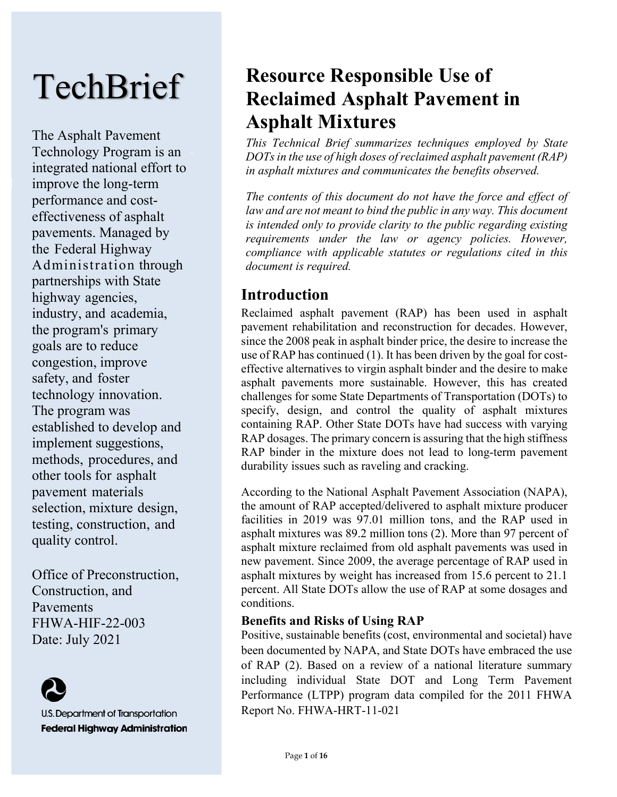# **TechBrief**

The Asphalt Pavement Technology Program is an integrated national effort to improve the long-term performance and costeffectiveness of asphalt pavements. Managed by the Federal Highway Administration through partnerships with State highway agencies, industry, and academia, the program's primary goals are to reduce congestion, improve safety, and foster technology innovation. The program was established to develop and implement suggestions, methods, procedures, and other tools for asphalt pavement materials selection, mixture design, testing, construction, and quality control.

Office of Preconstruction, Construction, and Pavements FHWA-HIF-22-003 Date: July 2021



U.S. Department of Transportation **Federal Highway Administration** 

## **Resource Responsible Use of Reclaimed Asphalt Pavement in Asphalt Mixtures**

*This Technical Brief summarizes techniques employed by State DOTs in the use of high doses of reclaimed asphalt pavement (RAP) in asphalt mixtures and communicates the benefits observed.* 

*The contents of this document do not have the force and effect of*  law and are not meant to bind the public in any way. This document *is intended only to provide clarity to the public regarding existing requirements under the law or agency policies. However, compliance with applicable statutes or regulations cited in this document is required.*

## **Introduction**

Reclaimed asphalt pavement (RAP) has been used in asphalt pavement rehabilitation and reconstruction for decades. However, since the 2008 peak in asphalt binder price, the desire to increase the use of RAP has continued (1). It has been driven by the goal for costeffective alternatives to virgin asphalt binder and the desire to make asphalt pavements more sustainable. However, this has created challenges for some State Departments of Transportation (DOTs) to specify, design, and control the quality of asphalt mixtures containing RAP. Other State DOTs have had success with varying RAP dosages. The primary concern is assuring that the high stiffness RAP binder in the mixture does not lead to long-term pavement durability issues such as raveling and cracking.

According to the National Asphalt Pavement Association (NAPA), the amount of RAP accepted/delivered to asphalt mixture producer facilities in 2019 was 97.01 million tons, and the RAP used in asphalt mixtures was 89.2 million tons (2). More than 97 percent of asphalt mixture reclaimed from old asphalt pavements was used in new pavement. Since 2009, the average percentage of RAP used in asphalt mixtures by weight has increased from 15.6 percent to 21.1 percent. All State DOTs allow the use of RAP at some dosages and conditions.

#### **Benefits and Risks of Using RAP**

Positive, sustainable benefits (cost, environmental and societal) have been documented by NAPA, and State DOTs have embraced the use of RAP (2). Based on a review of a national literature summary including individual State DOT and Long Term Pavement Performance (LTPP) program data compiled for the 2011 FHWA Report No. FHWA-HRT-11-021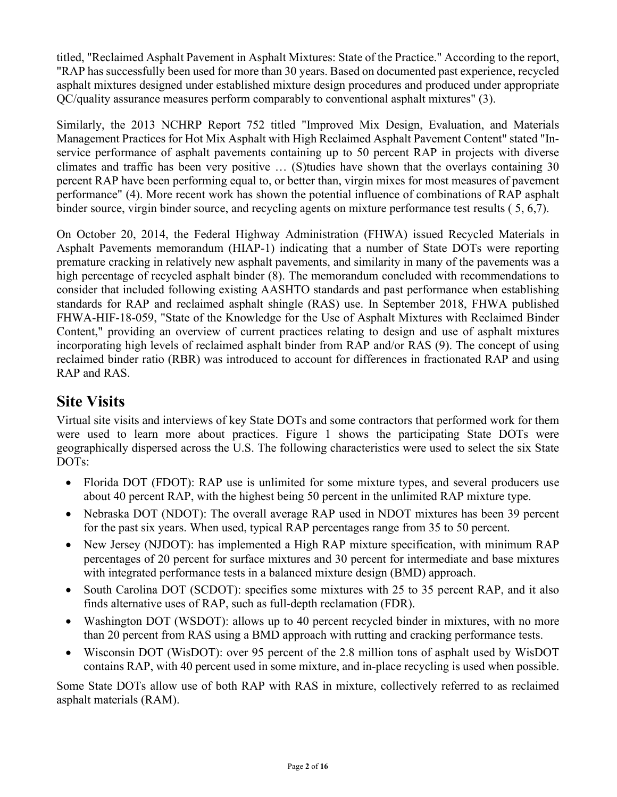titled, "Reclaimed Asphalt Pavement in Asphalt Mixtures: State of the Practice." According to the report, "RAP has successfully been used for more than 30 years. Based on documented past experience, recycled asphalt mixtures designed under established mixture design procedures and produced under appropriate QC/quality assurance measures perform comparably to conventional asphalt mixtures" (3).

Similarly, the 2013 NCHRP Report 752 titled "Improved Mix Design, Evaluation, and Materials Management Practices for Hot Mix Asphalt with High Reclaimed Asphalt Pavement Content" stated "Inservice performance of asphalt pavements containing up to 50 percent RAP in projects with diverse climates and traffic has been very positive … (S)tudies have shown that the overlays containing 30 percent RAP have been performing equal to, or better than, virgin mixes for most measures of pavement performance" (4). More recent work has shown the potential influence of combinations of RAP asphalt binder source, virgin binder source, and recycling agents on mixture performance test results ( 5, 6,7).

On October 20, 2014, the Federal Highway Administration (FHWA) issued Recycled Materials in Asphalt Pavements memorandum (HIAP-1) indicating that a number of State DOTs were reporting premature cracking in relatively new asphalt pavements, and similarity in many of the pavements was a high percentage of recycled asphalt binder (8). The memorandum concluded with recommendations to consider that included following existing AASHTO standards and past performance when establishing standards for RAP and reclaimed asphalt shingle (RAS) use. In September 2018, FHWA published FHWA-HIF-18-059, "State of the Knowledge for the Use of Asphalt Mixtures with Reclaimed Binder Content," providing an overview of current practices relating to design and use of asphalt mixtures incorporating high levels of reclaimed asphalt binder from RAP and/or RAS (9). The concept of using reclaimed binder ratio (RBR) was introduced to account for differences in fractionated RAP and using RAP and RAS.

## **Site Visits**

Virtual site visits and interviews of key State DOTs and some contractors that performed work for them were used to learn more about practices. Figure 1 shows the participating State DOTs were geographically dispersed across the U.S. The following characteristics were used to select the six State DOTs:

- Florida DOT (FDOT): RAP use is unlimited for some mixture types, and several producers use about 40 percent RAP, with the highest being 50 percent in the unlimited RAP mixture type.
- Nebraska DOT (NDOT): The overall average RAP used in NDOT mixtures has been 39 percent for the past six years. When used, typical RAP percentages range from 35 to 50 percent.
- New Jersey (NJDOT): has implemented a High RAP mixture specification, with minimum RAP percentages of 20 percent for surface mixtures and 30 percent for intermediate and base mixtures with integrated performance tests in a balanced mixture design (BMD) approach.
- South Carolina DOT (SCDOT): specifies some mixtures with 25 to 35 percent RAP, and it also finds alternative uses of RAP, such as full-depth reclamation (FDR).
- Washington DOT (WSDOT): allows up to 40 percent recycled binder in mixtures, with no more than 20 percent from RAS using a BMD approach with rutting and cracking performance tests.
- Wisconsin DOT (WisDOT): over 95 percent of the 2.8 million tons of asphalt used by WisDOT contains RAP, with 40 percent used in some mixture, and in-place recycling is used when possible.

Some State DOTs allow use of both RAP with RAS in mixture, collectively referred to as reclaimed asphalt materials (RAM).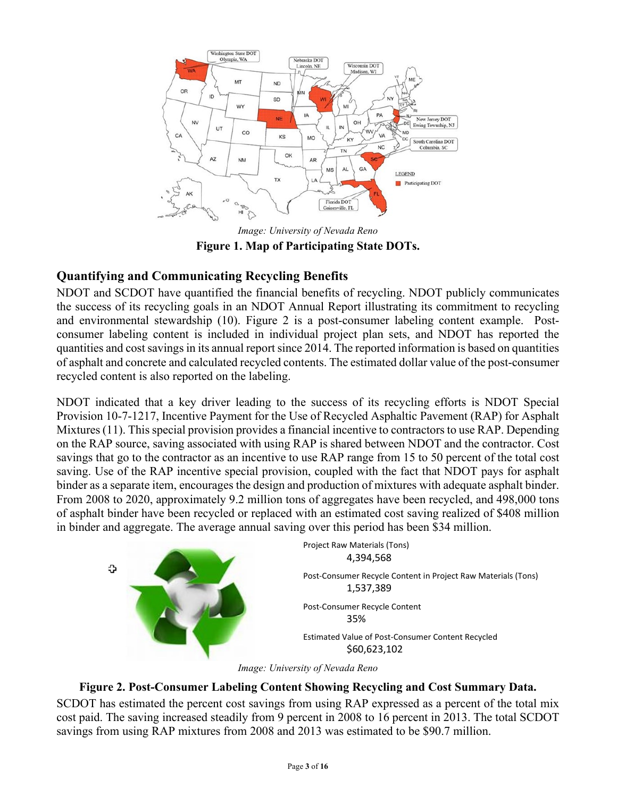

*Image: University of Nevada Reno* **Figure 1. Map of Participating State DOTs.** 

#### **Quantifying and Communicating Recycling Benefits**

NDOT and SCDOT have quantified the financial benefits of recycling. NDOT publicly communicates the success of its recycling goals in an NDOT Annual Report illustrating its commitment to recycling and environmental stewardship (10). Figure 2 is a post-consumer labeling content example. Postconsumer labeling content is included in individual project plan sets, and NDOT has reported the quantities and cost savings in its annual report since 2014. The reported information is based on quantities of asphalt and concrete and calculated recycled contents. The estimated dollar value of the post-consumer recycled content is also reported on the labeling.

NDOT indicated that a key driver leading to the success of its recycling efforts is NDOT Special Provision 10-7-1217, Incentive Payment for the Use of Recycled Asphaltic Pavement (RAP) for Asphalt Mixtures (11). This special provision provides a financial incentive to contractors to use RAP. Depending on the RAP source, saving associated with using RAP is shared between NDOT and the contractor. Cost savings that go to the contractor as an incentive to use RAP range from 15 to 50 percent of the total cost saving. Use of the RAP incentive special provision, coupled with the fact that NDOT pays for asphalt binder as a separate item, encourages the design and production of mixtures with adequate asphalt binder. From 2008 to 2020, approximately 9.2 million tons of aggregates have been recycled, and 498,000 tons of asphalt binder have been recycled or replaced with an estimated cost saving realized of \$408 million in binder and aggregate. The average annual saving over this period has been \$34 million.



*Image: University of Nevada Reno*

#### **Figure 2. Post-Consumer Labeling Content Showing Recycling and Cost Summary Data.**

SCDOT has estimated the percent cost savings from using RAP expressed as a percent of the total mix cost paid. The saving increased steadily from 9 percent in 2008 to 16 percent in 2013. The total SCDOT savings from using RAP mixtures from 2008 and 2013 was estimated to be \$90.7 million.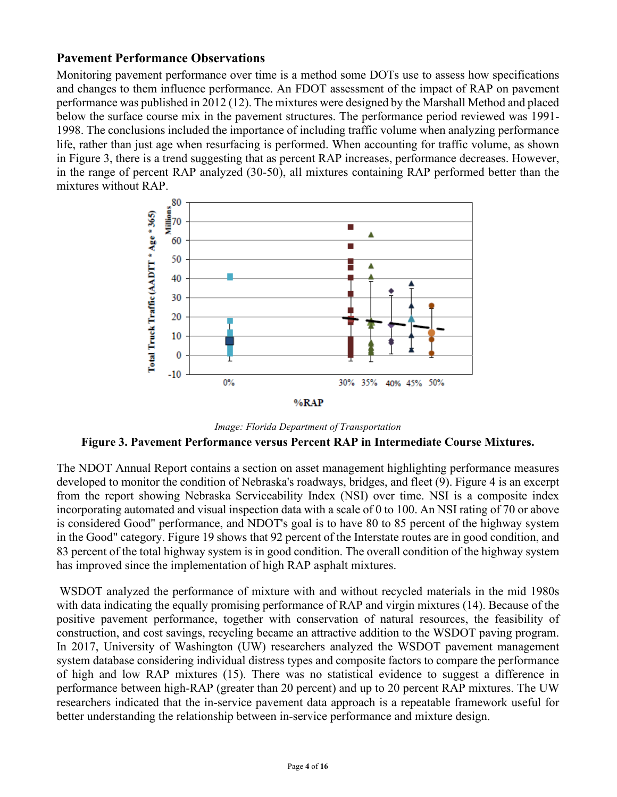#### **Pavement Performance Observations**

Monitoring pavement performance over time is a method some DOTs use to assess how specifications and changes to them influence performance. An FDOT assessment of the impact of RAP on pavement performance was published in 2012 (12). The mixtures were designed by the Marshall Method and placed below the surface course mix in the pavement structures. The performance period reviewed was 1991- 1998. The conclusions included the importance of including traffic volume when analyzing performance life, rather than just age when resurfacing is performed. When accounting for traffic volume, as shown in Figure 3, there is a trend suggesting that as percent RAP increases, performance decreases. However, in the range of percent RAP analyzed (30-50), all mixtures containing RAP performed better than the mixtures without RAP.



*Image: Florida Department of Transportation*

#### **Figure 3. Pavement Performance versus Percent RAP in Intermediate Course Mixtures.**

The NDOT Annual Report contains a section on asset management highlighting performance measures developed to monitor the condition of Nebraska's roadways, bridges, and fleet (9). Figure 4 is an excerpt from the report showing Nebraska Serviceability Index (NSI) over time. NSI is a composite index incorporating automated and visual inspection data with a scale of 0 to 100. An NSI rating of 70 or above is considered Good" performance, and NDOT's goal is to have 80 to 85 percent of the highway system in the Good" category. Figure 19 shows that 92 percent of the Interstate routes are in good condition, and 83 percent of the total highway system is in good condition. The overall condition of the highway system has improved since the implementation of high RAP asphalt mixtures.

WSDOT analyzed the performance of mixture with and without recycled materials in the mid 1980s with data indicating the equally promising performance of RAP and virgin mixtures (14). Because of the positive pavement performance, together with conservation of natural resources, the feasibility of construction, and cost savings, recycling became an attractive addition to the WSDOT paving program. In 2017, University of Washington (UW) researchers analyzed the WSDOT pavement management system database considering individual distress types and composite factors to compare the performance of high and low RAP mixtures (15). There was no statistical evidence to suggest a difference in performance between high-RAP (greater than 20 percent) and up to 20 percent RAP mixtures. The UW researchers indicated that the in-service pavement data approach is a repeatable framework useful for better understanding the relationship between in-service performance and mixture design.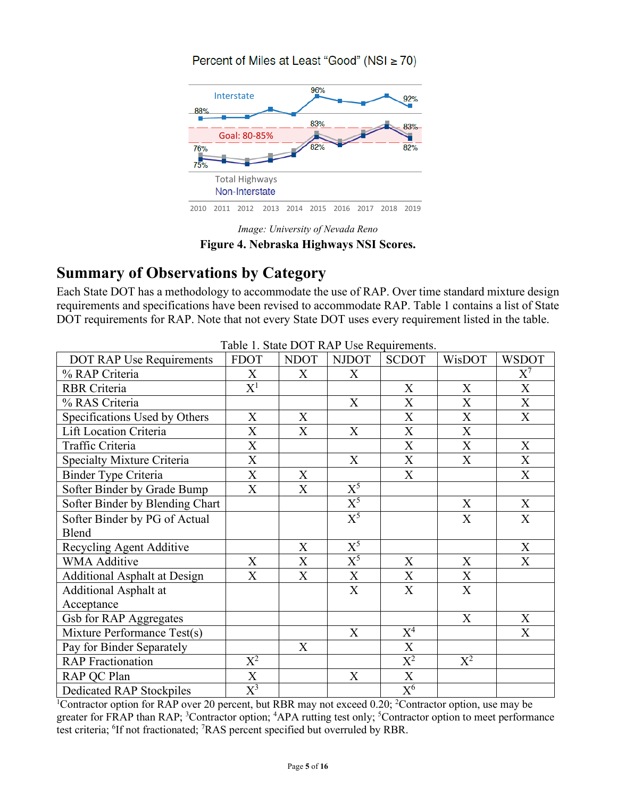#### Percent of Miles at Least "Good" (NSI ≥ 70)



*Image: University of Nevada Reno* **Figure 4. Nebraska Highways NSI Scores.** 

## **Summary of Observations by Category**

Each State DOT has a methodology to accommodate the use of RAP. Over time standard mixture design requirements and specifications have been revised to accommodate RAP. Table 1 contains a list of State DOT requirements for RAP. Note that not every State DOT uses every requirement listed in the table.

| DOT RAP Use Requirements            | <b>FDOT</b>      | <b>NDOT</b> | <b>NJDOT</b>              | raoit 1. Diale DOT IVII OSC Requirements.<br><b>SCDOT</b> | WisDOT      | <b>WSDOT</b>              |
|-------------------------------------|------------------|-------------|---------------------------|-----------------------------------------------------------|-------------|---------------------------|
| % RAP Criteria                      | X                | X           | X                         |                                                           |             | $X^7$                     |
| <b>RBR</b> Criteria                 | $\mathrm{X}^1$   |             |                           | X                                                         | X           | X                         |
|                                     |                  |             |                           |                                                           |             |                           |
| % RAS Criteria                      |                  |             | X                         | X                                                         | X           | $\boldsymbol{\mathrm{X}}$ |
| Specifications Used by Others       | X                | X           |                           | $\mathbf X$                                               | X           | X                         |
| Lift Location Criteria              | X                | X           | $\boldsymbol{\mathrm{X}}$ | $\boldsymbol{\mathrm{X}}$                                 | X           |                           |
| Traffic Criteria                    | $\mathbf X$      |             |                           | $\mathbf X$                                               | $\mathbf X$ | $\mathbf X$               |
| Specialty Mixture Criteria          | $\mathbf X$      |             | X                         | X                                                         | X           | X                         |
| Binder Type Criteria                | $\mathbf{X}$     | $\mathbf X$ |                           | $\boldsymbol{\mathrm{X}}$                                 |             | $\boldsymbol{\mathrm{X}}$ |
| Softer Binder by Grade Bump         | X                | X           | $\overline{\mathrm{X}^5}$ |                                                           |             |                           |
| Softer Binder by Blending Chart     |                  |             | $\overline{X}^5$          |                                                           | X           | X                         |
| Softer Binder by PG of Actual       |                  |             | $X^5$                     |                                                           | X           | X                         |
| Blend                               |                  |             |                           |                                                           |             |                           |
| Recycling Agent Additive            |                  | X           | $\overline{X}^5$          |                                                           |             | X                         |
| <b>WMA Additive</b>                 | X                | X           | $X^5$                     | X                                                         | X           | X                         |
| <b>Additional Asphalt at Design</b> | X                | X           | $\boldsymbol{\mathrm{X}}$ | X                                                         | X           |                           |
| <b>Additional Asphalt at</b>        |                  |             | X                         | X                                                         | X           |                           |
| Acceptance                          |                  |             |                           |                                                           |             |                           |
| Gsb for RAP Aggregates              |                  |             |                           |                                                           | X           | X                         |
| Mixture Performance Test(s)         |                  |             | X                         | $X^4$                                                     |             | X                         |
| Pay for Binder Separately           |                  | X           |                           | $\boldsymbol{\mathrm{X}}$                                 |             |                           |
| <b>RAP</b> Fractionation            | $\mathrm{X}^2$   |             |                           | $\overline{\mathrm{X}^2}$                                 | $X^2$       |                           |
| RAP QC Plan                         | $\mathbf X$      |             | $\mathbf X$               | $\mathbf X$                                               |             |                           |
| Dedicated RAP Stockpiles            | $\overline{X}^3$ |             |                           | $\overline{X^6}$                                          |             |                           |

Table 1. State DOT RAP Use Requirements.

<sup>1</sup>Contractor option for RAP over 20 percent, but RBR may not exceed 0.20; <sup>2</sup>Contractor option, use may be greater for FRAP than RAP; <sup>3</sup>Contractor option; <sup>4</sup>APA rutting test only; <sup>5</sup>Contractor option to meet performance test criteria; <sup>6</sup>If not fractionated; <sup>7</sup>RAS percent specified but overruled by RBR.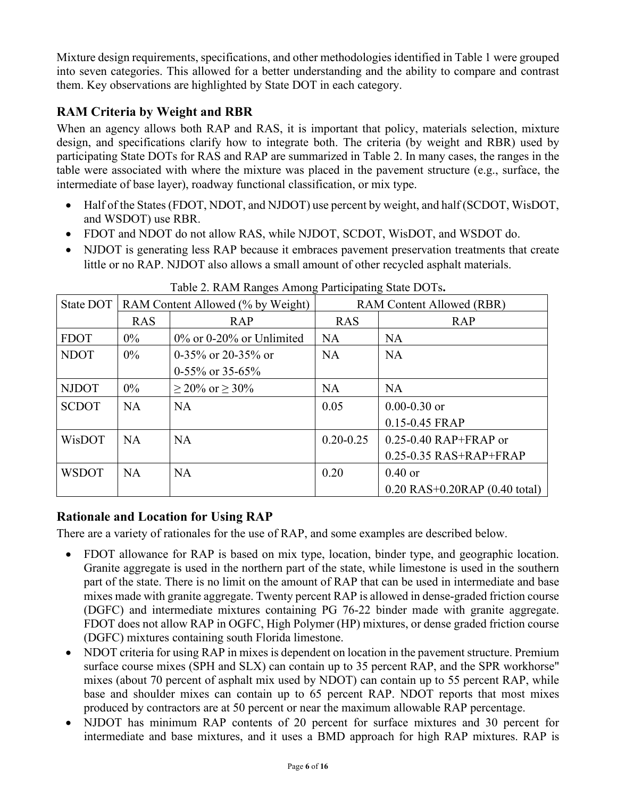Mixture design requirements, specifications, and other methodologies identified in Table 1 were grouped into seven categories. This allowed for a better understanding and the ability to compare and contrast them. Key observations are highlighted by State DOT in each category.

#### **RAM Criteria by Weight and RBR**

When an agency allows both RAP and RAS, it is important that policy, materials selection, mixture design, and specifications clarify how to integrate both. The criteria (by weight and RBR) used by participating State DOTs for RAS and RAP are summarized in Table 2. In many cases, the ranges in the table were associated with where the mixture was placed in the pavement structure (e.g., surface, the intermediate of base layer), roadway functional classification, or mix type.

- Half of the States (FDOT, NDOT, and NJDOT) use percent by weight, and half (SCDOT, WisDOT, and WSDOT) use RBR.
- FDOT and NDOT do not allow RAS, while NJDOT, SCDOT, WisDOT, and WSDOT do.
- NJDOT is generating less RAP because it embraces pavement preservation treatments that create little or no RAP. NJDOT also allows a small amount of other recycled asphalt materials.

| State DOT    | RAM Content Allowed (% by Weight) |                             | RAM Content Allowed (RBR) |                                     |  |
|--------------|-----------------------------------|-----------------------------|---------------------------|-------------------------------------|--|
|              | <b>RAS</b>                        | <b>RAP</b>                  | <b>RAS</b>                | <b>RAP</b>                          |  |
| <b>FDOT</b>  | $0\%$                             | $0\%$ or 0-20% or Unlimited | <b>NA</b>                 | <b>NA</b>                           |  |
| <b>NDOT</b>  | $0\%$                             | 0-35% or 20-35% or          | <b>NA</b>                 | <b>NA</b>                           |  |
|              |                                   | $0-55\%$ or 35-65%          |                           |                                     |  |
| <b>NJDOT</b> | $0\%$                             | $\geq$ 20% or $\geq$ 30%    | <b>NA</b>                 | <b>NA</b>                           |  |
| <b>SCDOT</b> | NA                                | <b>NA</b>                   | 0.05                      | $0.00 - 0.30$ or                    |  |
|              |                                   |                             |                           | $0.15 - 0.45$ FRAP                  |  |
| WisDOT       | <b>NA</b>                         | <b>NA</b>                   | $0.20 - 0.25$             | $0.25 - 0.40$ RAP+FRAP or           |  |
|              |                                   |                             |                           | $0.25 - 0.35$ RAS+RAP+FRAP          |  |
| <b>WSDOT</b> | <b>NA</b>                         | <b>NA</b>                   | 0.20                      | $0.40$ or                           |  |
|              |                                   |                             |                           | $0.20$ RAS+ $0.20$ RAP (0.40 total) |  |

Table 2. RAM Ranges Among Participating State DOTs**.** 

#### **Rationale and Location for Using RAP**

There are a variety of rationales for the use of RAP, and some examples are described below.

- FDOT allowance for RAP is based on mix type, location, binder type, and geographic location. Granite aggregate is used in the northern part of the state, while limestone is used in the southern part of the state. There is no limit on the amount of RAP that can be used in intermediate and base mixes made with granite aggregate. Twenty percent RAP is allowed in dense-graded friction course (DGFC) and intermediate mixtures containing PG 76-22 binder made with granite aggregate. FDOT does not allow RAP in OGFC, High Polymer (HP) mixtures, or dense graded friction course (DGFC) mixtures containing south Florida limestone.
- NDOT criteria for using RAP in mixes is dependent on location in the pavement structure. Premium surface course mixes (SPH and SLX) can contain up to 35 percent RAP, and the SPR workhorse" mixes (about 70 percent of asphalt mix used by NDOT) can contain up to 55 percent RAP, while base and shoulder mixes can contain up to 65 percent RAP. NDOT reports that most mixes produced by contractors are at 50 percent or near the maximum allowable RAP percentage.
- NJDOT has minimum RAP contents of 20 percent for surface mixtures and 30 percent for intermediate and base mixtures, and it uses a BMD approach for high RAP mixtures. RAP is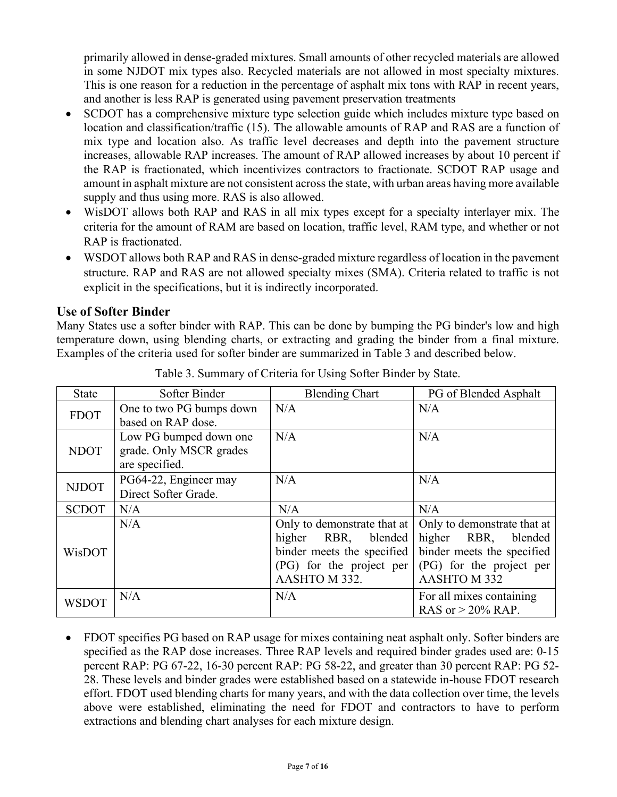primarily allowed in dense-graded mixtures. Small amounts of other recycled materials are allowed in some NJDOT mix types also. Recycled materials are not allowed in most specialty mixtures. This is one reason for a reduction in the percentage of asphalt mix tons with RAP in recent years, and another is less RAP is generated using pavement preservation treatments

- SCDOT has a comprehensive mixture type selection guide which includes mixture type based on location and classification/traffic (15). The allowable amounts of RAP and RAS are a function of mix type and location also. As traffic level decreases and depth into the pavement structure increases, allowable RAP increases. The amount of RAP allowed increases by about 10 percent if the RAP is fractionated, which incentivizes contractors to fractionate. SCDOT RAP usage and amount in asphalt mixture are not consistent across the state, with urban areas having more available supply and thus using more. RAS is also allowed.
- WisDOT allows both RAP and RAS in all mix types except for a specialty interlayer mix. The criteria for the amount of RAM are based on location, traffic level, RAM type, and whether or not RAP is fractionated.
- WSDOT allows both RAP and RAS in dense-graded mixture regardless of location in the pavement structure. RAP and RAS are not allowed specialty mixes (SMA). Criteria related to traffic is not explicit in the specifications, but it is indirectly incorporated.

#### **Use of Softer Binder**

Many States use a softer binder with RAP. This can be done by bumping the PG binder's low and high temperature down, using blending charts, or extracting and grading the binder from a final mixture. Examples of the criteria used for softer binder are summarized in Table 3 and described below.

| <b>State</b> | Softer Binder            | <b>Blending Chart</b>       | PG of Blended Asphalt       |
|--------------|--------------------------|-----------------------------|-----------------------------|
| <b>FDOT</b>  | One to two PG bumps down | N/A                         | N/A                         |
|              | based on RAP dose.       |                             |                             |
|              | Low PG bumped down one   | N/A                         | N/A                         |
| <b>NDOT</b>  | grade. Only MSCR grades  |                             |                             |
|              | are specified.           |                             |                             |
| <b>NJDOT</b> | PG64-22, Engineer may    | N/A                         | N/A                         |
|              | Direct Softer Grade.     |                             |                             |
| <b>SCDOT</b> | N/A                      | N/A                         | N/A                         |
|              | N/A                      | Only to demonstrate that at | Only to demonstrate that at |
| WisDOT       |                          | blended<br>higher<br>RBR,   | higher<br>RBR,<br>blended   |
|              |                          | binder meets the specified  | binder meets the specified  |
|              |                          | (PG) for the project per    | (PG) for the project per    |
|              |                          | AASHTO M 332.               | AASHTO M 332                |
| <b>WSDOT</b> | N/A                      | N/A                         | For all mixes containing    |
|              |                          |                             | RAS or $>$ 20% RAP.         |

Table 3. Summary of Criteria for Using Softer Binder by State.

• FDOT specifies PG based on RAP usage for mixes containing neat asphalt only. Softer binders are specified as the RAP dose increases. Three RAP levels and required binder grades used are: 0-15 percent RAP: PG 67-22, 16-30 percent RAP: PG 58-22, and greater than 30 percent RAP: PG 52- 28. These levels and binder grades were established based on a statewide in-house FDOT research effort. FDOT used blending charts for many years, and with the data collection over time, the levels above were established, eliminating the need for FDOT and contractors to have to perform extractions and blending chart analyses for each mixture design.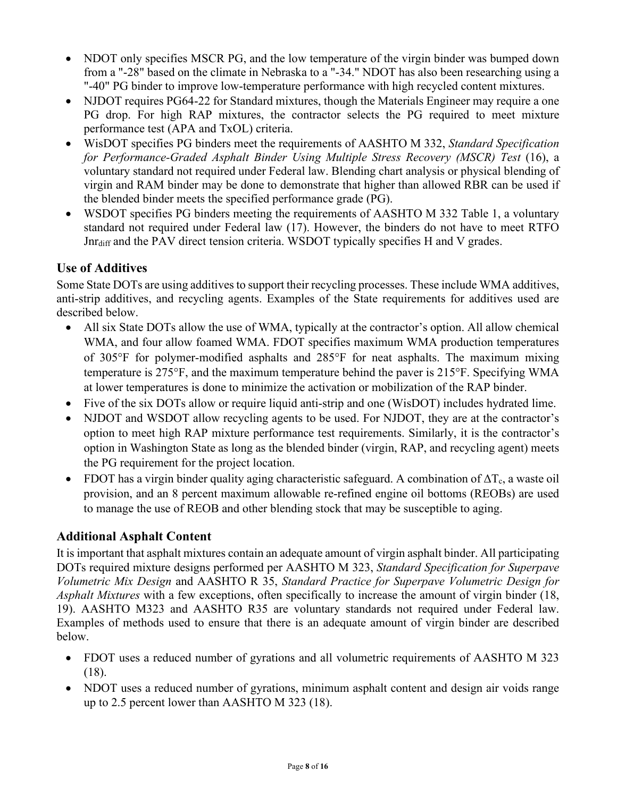- NDOT only specifies MSCR PG, and the low temperature of the virgin binder was bumped down from a "-28" based on the climate in Nebraska to a "-34." NDOT has also been researching using a "-40" PG binder to improve low-temperature performance with high recycled content mixtures.
- NJDOT requires PG64-22 for Standard mixtures, though the Materials Engineer may require a one PG drop. For high RAP mixtures, the contractor selects the PG required to meet mixture performance test (APA and TxOL) criteria.
- WisDOT specifies PG binders meet the requirements of AASHTO M 332, *Standard Specification for Performance-Graded Asphalt Binder Using Multiple Stress Recovery (MSCR) Test* (16), a voluntary standard not required under Federal law. Blending chart analysis or physical blending of virgin and RAM binder may be done to demonstrate that higher than allowed RBR can be used if the blended binder meets the specified performance grade (PG).
- WSDOT specifies PG binders meeting the requirements of AASHTO M 332 Table 1, a voluntary standard not required under Federal law (17). However, the binders do not have to meet RTFO Jnr<sub>diff</sub> and the PAV direct tension criteria. WSDOT typically specifies H and V grades.

#### **Use of Additives**

Some State DOTs are using additives to support their recycling processes. These include WMA additives, anti-strip additives, and recycling agents. Examples of the State requirements for additives used are described below.

- All six State DOTs allow the use of WMA, typically at the contractor's option. All allow chemical WMA, and four allow foamed WMA. FDOT specifies maximum WMA production temperatures of 305°F for polymer-modified asphalts and 285°F for neat asphalts. The maximum mixing temperature is 275°F, and the maximum temperature behind the paver is 215°F. Specifying WMA at lower temperatures is done to minimize the activation or mobilization of the RAP binder.
- Five of the six DOTs allow or require liquid anti-strip and one (WisDOT) includes hydrated lime.
- NJDOT and WSDOT allow recycling agents to be used. For NJDOT, they are at the contractor's option to meet high RAP mixture performance test requirements. Similarly, it is the contractor's option in Washington State as long as the blended binder (virgin, RAP, and recycling agent) meets the PG requirement for the project location.
- FDOT has a virgin binder quality aging characteristic safeguard. A combination of  $\Delta T_c$ , a waste oil provision, and an 8 percent maximum allowable re-refined engine oil bottoms (REOBs) are used to manage the use of REOB and other blending stock that may be susceptible to aging.

#### **Additional Asphalt Content**

It is important that asphalt mixtures contain an adequate amount of virgin asphalt binder. All participating DOTs required mixture designs performed per AASHTO M 323, *Standard Specification for Superpave Volumetric Mix Design* and AASHTO R 35, *Standard Practice for Superpave Volumetric Design for Asphalt Mixtures* with a few exceptions, often specifically to increase the amount of virgin binder (18, 19). AASHTO M323 and AASHTO R35 are voluntary standards not required under Federal law. Examples of methods used to ensure that there is an adequate amount of virgin binder are described below.

- FDOT uses a reduced number of gyrations and all volumetric requirements of AASHTO M 323 (18).
- NDOT uses a reduced number of gyrations, minimum asphalt content and design air voids range up to 2.5 percent lower than AASHTO M 323 (18).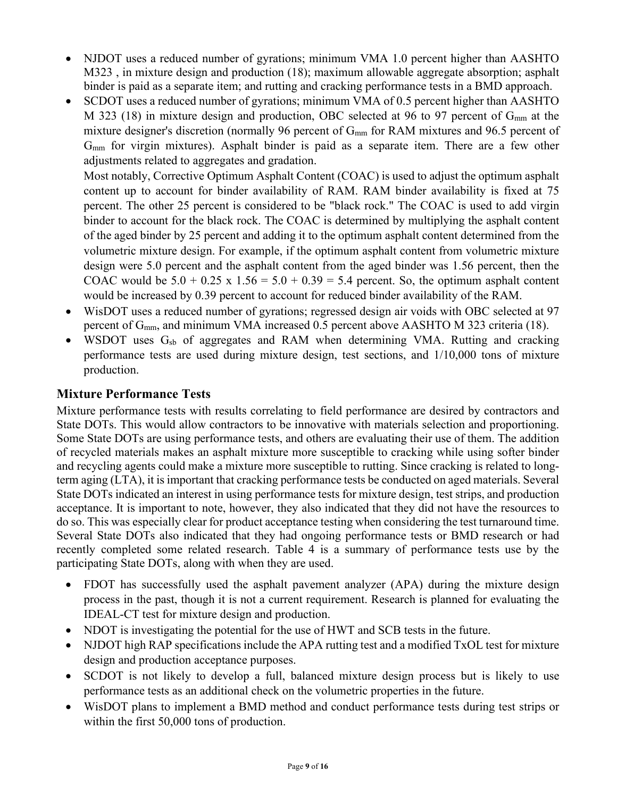- NJDOT uses a reduced number of gyrations; minimum VMA 1.0 percent higher than AASHTO M323, in mixture design and production (18); maximum allowable aggregate absorption; asphalt binder is paid as a separate item; and rutting and cracking performance tests in a BMD approach.
- SCDOT uses a reduced number of gyrations; minimum VMA of 0.5 percent higher than AASHTO M 323 (18) in mixture design and production, OBC selected at 96 to 97 percent of  $G<sub>mm</sub>$  at the mixture designer's discretion (normally 96 percent of G<sub>mm</sub> for RAM mixtures and 96.5 percent of Gmm for virgin mixtures). Asphalt binder is paid as a separate item. There are a few other adjustments related to aggregates and gradation.

Most notably, Corrective Optimum Asphalt Content (COAC) is used to adjust the optimum asphalt content up to account for binder availability of RAM. RAM binder availability is fixed at 75 percent. The other 25 percent is considered to be "black rock." The COAC is used to add virgin binder to account for the black rock. The COAC is determined by multiplying the asphalt content of the aged binder by 25 percent and adding it to the optimum asphalt content determined from the volumetric mixture design. For example, if the optimum asphalt content from volumetric mixture design were 5.0 percent and the asphalt content from the aged binder was 1.56 percent, then the COAC would be  $5.0 + 0.25 \times 1.56 = 5.0 + 0.39 = 5.4$  percent. So, the optimum asphalt content would be increased by 0.39 percent to account for reduced binder availability of the RAM.

- WisDOT uses a reduced number of gyrations; regressed design air voids with OBC selected at 97 percent of Gmm, and minimum VMA increased 0.5 percent above AASHTO M 323 criteria (18).
- WSDOT uses  $G_{sb}$  of aggregates and RAM when determining VMA. Rutting and cracking performance tests are used during mixture design, test sections, and 1/10,000 tons of mixture production.

#### **Mixture Performance Tests**

Mixture performance tests with results correlating to field performance are desired by contractors and State DOTs. This would allow contractors to be innovative with materials selection and proportioning. Some State DOTs are using performance tests, and others are evaluating their use of them. The addition of recycled materials makes an asphalt mixture more susceptible to cracking while using softer binder and recycling agents could make a mixture more susceptible to rutting. Since cracking is related to longterm aging (LTA), it is important that cracking performance tests be conducted on aged materials. Several State DOTs indicated an interest in using performance tests for mixture design, test strips, and production acceptance. It is important to note, however, they also indicated that they did not have the resources to do so. This was especially clear for product acceptance testing when considering the test turnaround time. Several State DOTs also indicated that they had ongoing performance tests or BMD research or had recently completed some related research. Table 4 is a summary of performance tests use by the participating State DOTs, along with when they are used.

- FDOT has successfully used the asphalt pavement analyzer (APA) during the mixture design process in the past, though it is not a current requirement. Research is planned for evaluating the IDEAL-CT test for mixture design and production.
- NDOT is investigating the potential for the use of HWT and SCB tests in the future.
- NJDOT high RAP specifications include the APA rutting test and a modified TxOL test for mixture design and production acceptance purposes.
- SCDOT is not likely to develop a full, balanced mixture design process but is likely to use performance tests as an additional check on the volumetric properties in the future.
- WisDOT plans to implement a BMD method and conduct performance tests during test strips or within the first 50,000 tons of production.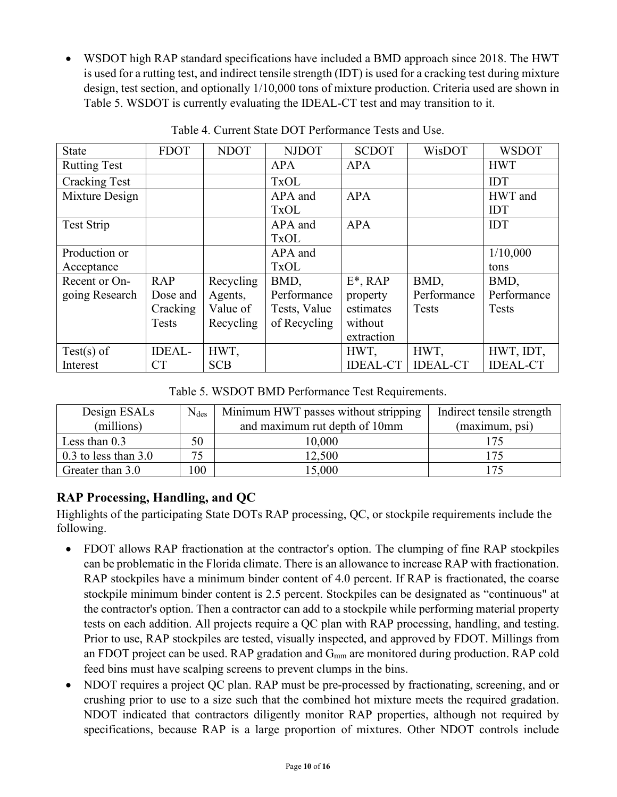• WSDOT high RAP standard specifications have included a BMD approach since 2018. The HWT is used for a rutting test, and indirect tensile strength (IDT) is used for a cracking test during mixture design, test section, and optionally 1/10,000 tons of mixture production. Criteria used are shown in Table 5. WSDOT is currently evaluating the IDEAL-CT test and may transition to it.

| <b>State</b>         | <b>FDOT</b>   | <b>NDOT</b> | <b>NJDOT</b> | <b>SCDOT</b>    | WisDOT          | <b>WSDOT</b>    |
|----------------------|---------------|-------------|--------------|-----------------|-----------------|-----------------|
| <b>Rutting Test</b>  |               |             | <b>APA</b>   | <b>APA</b>      |                 | <b>HWT</b>      |
| <b>Cracking Test</b> |               |             | <b>TxOL</b>  |                 |                 | IDT             |
| Mixture Design       |               |             | APA and      | <b>APA</b>      |                 | HWT and         |
|                      |               |             | <b>TxOL</b>  |                 |                 | <b>IDT</b>      |
| <b>Test Strip</b>    |               |             | APA and      | <b>APA</b>      |                 | IDT             |
|                      |               |             | <b>TxOL</b>  |                 |                 |                 |
| Production or        |               |             | APA and      |                 |                 | 1/10,000        |
| Acceptance           |               |             | <b>TxOL</b>  |                 |                 | tons            |
| Recent or On-        | <b>RAP</b>    | Recycling   | BMD,         | $E^*$ , RAP     | BMD,            | BMD,            |
| going Research       | Dose and      | Agents,     | Performance  | property        | Performance     | Performance     |
|                      | Cracking      | Value of    | Tests, Value | estimates       | Tests           | <b>Tests</b>    |
|                      | <b>Tests</b>  | Recycling   | of Recycling | without         |                 |                 |
|                      |               |             |              | extraction      |                 |                 |
| $Test(s)$ of         | <b>IDEAL-</b> | HWT,        |              | HWT,            | HWT,            | HWT, IDT,       |
| Interest             | <b>CT</b>     | <b>SCB</b>  |              | <b>IDEAL-CT</b> | <b>IDEAL-CT</b> | <b>IDEAL-CT</b> |

Table 4. Current State DOT Performance Tests and Use.

Table 5. WSDOT BMD Performance Test Requirements.

| Design ESALs             | $N_{des}$ | Minimum HWT passes without stripping | Indirect tensile strength |
|--------------------------|-----------|--------------------------------------|---------------------------|
| (millions)               |           | and maximum rut depth of 10mm        | (maximum, psi)            |
| Less than $0.3$          | 50        | 10,000                               | 175                       |
| $0.3$ to less than $3.0$ | 75        | 12,500                               | 175                       |
| Greater than 3.0         | 100       | 15,000                               | 175                       |

#### **RAP Processing, Handling, and QC**

Highlights of the participating State DOTs RAP processing, QC, or stockpile requirements include the following.

- FDOT allows RAP fractionation at the contractor's option. The clumping of fine RAP stockpiles can be problematic in the Florida climate. There is an allowance to increase RAP with fractionation. RAP stockpiles have a minimum binder content of 4.0 percent. If RAP is fractionated, the coarse stockpile minimum binder content is 2.5 percent. Stockpiles can be designated as "continuous" at the contractor's option. Then a contractor can add to a stockpile while performing material property tests on each addition. All projects require a QC plan with RAP processing, handling, and testing. Prior to use, RAP stockpiles are tested, visually inspected, and approved by FDOT. Millings from an FDOT project can be used. RAP gradation and  $G<sub>mm</sub>$  are monitored during production. RAP cold feed bins must have scalping screens to prevent clumps in the bins.
- NDOT requires a project QC plan. RAP must be pre-processed by fractionating, screening, and or crushing prior to use to a size such that the combined hot mixture meets the required gradation. NDOT indicated that contractors diligently monitor RAP properties, although not required by specifications, because RAP is a large proportion of mixtures. Other NDOT controls include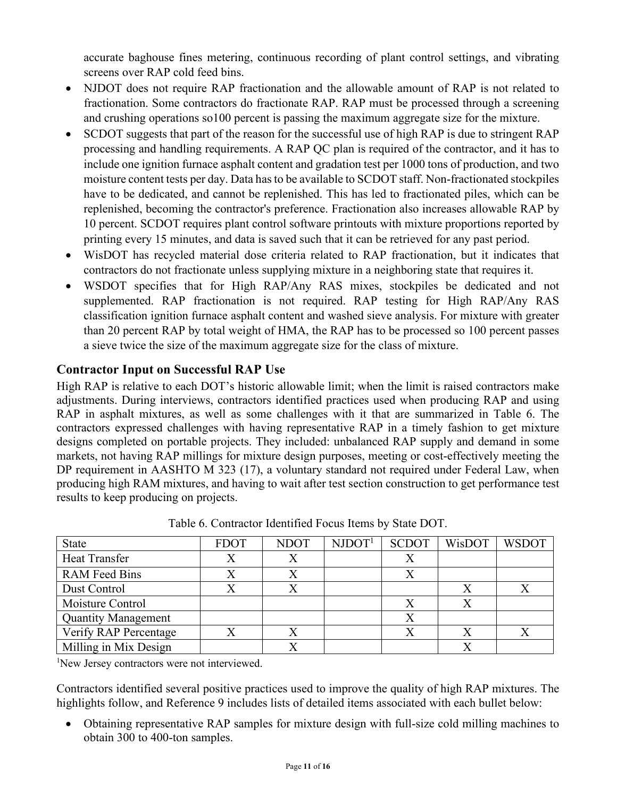accurate baghouse fines metering, continuous recording of plant control settings, and vibrating screens over RAP cold feed bins.

- NJDOT does not require RAP fractionation and the allowable amount of RAP is not related to fractionation. Some contractors do fractionate RAP. RAP must be processed through a screening and crushing operations so100 percent is passing the maximum aggregate size for the mixture.
- SCDOT suggests that part of the reason for the successful use of high RAP is due to stringent RAP processing and handling requirements. A RAP QC plan is required of the contractor, and it has to include one ignition furnace asphalt content and gradation test per 1000 tons of production, and two moisture content tests per day. Data has to be available to SCDOT staff. Non-fractionated stockpiles have to be dedicated, and cannot be replenished. This has led to fractionated piles, which can be replenished, becoming the contractor's preference. Fractionation also increases allowable RAP by 10 percent. SCDOT requires plant control software printouts with mixture proportions reported by printing every 15 minutes, and data is saved such that it can be retrieved for any past period.
- WisDOT has recycled material dose criteria related to RAP fractionation, but it indicates that contractors do not fractionate unless supplying mixture in a neighboring state that requires it.
- WSDOT specifies that for High RAP/Any RAS mixes, stockpiles be dedicated and not supplemented. RAP fractionation is not required. RAP testing for High RAP/Any RAS classification ignition furnace asphalt content and washed sieve analysis. For mixture with greater than 20 percent RAP by total weight of HMA, the RAP has to be processed so 100 percent passes a sieve twice the size of the maximum aggregate size for the class of mixture.

#### **Contractor Input on Successful RAP Use**

High RAP is relative to each DOT's historic allowable limit; when the limit is raised contractors make adjustments. During interviews, contractors identified practices used when producing RAP and using RAP in asphalt mixtures, as well as some challenges with it that are summarized in Table 6. The contractors expressed challenges with having representative RAP in a timely fashion to get mixture designs completed on portable projects. They included: unbalanced RAP supply and demand in some markets, not having RAP millings for mixture design purposes, meeting or cost-effectively meeting the DP requirement in AASHTO M 323 (17), a voluntary standard not required under Federal Law, when producing high RAM mixtures, and having to wait after test section construction to get performance test results to keep producing on projects.

| <b>State</b>               | <b>FDOT</b> | <b>NDOT</b> | NJOOT <sup>1</sup> | <b>SCDOT</b> | WisDOT | <b>WSDOT</b> |
|----------------------------|-------------|-------------|--------------------|--------------|--------|--------------|
| <b>Heat Transfer</b>       | X           |             |                    |              |        |              |
| <b>RAM</b> Feed Bins       |             |             |                    |              |        |              |
| Dust Control               |             |             |                    |              |        |              |
| Moisture Control           |             |             |                    |              |        |              |
| <b>Quantity Management</b> |             |             |                    |              |        |              |
| Verify RAP Percentage      |             |             |                    |              |        |              |
| Milling in Mix Design      |             |             |                    |              |        |              |

Table 6. Contractor Identified Focus Items by State DOT.

<sup>1</sup>New Jersey contractors were not interviewed.

Contractors identified several positive practices used to improve the quality of high RAP mixtures. The highlights follow, and Reference 9 includes lists of detailed items associated with each bullet below:

• Obtaining representative RAP samples for mixture design with full-size cold milling machines to obtain 300 to 400-ton samples.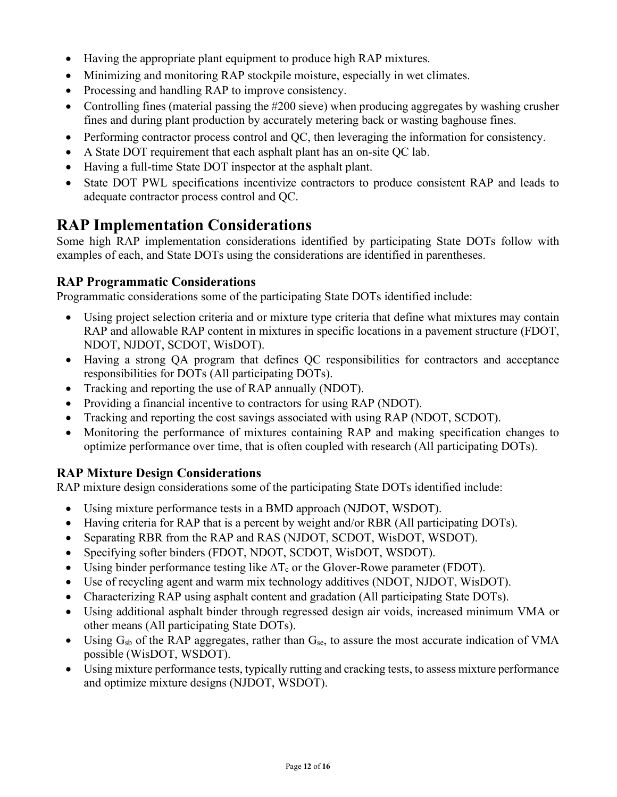- Having the appropriate plant equipment to produce high RAP mixtures.
- Minimizing and monitoring RAP stockpile moisture, especially in wet climates.
- Processing and handling RAP to improve consistency.
- Controlling fines (material passing the #200 sieve) when producing aggregates by washing crusher fines and during plant production by accurately metering back or wasting baghouse fines.
- Performing contractor process control and QC, then leveraging the information for consistency.
- A State DOT requirement that each asphalt plant has an on-site QC lab.
- Having a full-time State DOT inspector at the asphalt plant.
- State DOT PWL specifications incentivize contractors to produce consistent RAP and leads to adequate contractor process control and QC.

## **RAP Implementation Considerations**

Some high RAP implementation considerations identified by participating State DOTs follow with examples of each, and State DOTs using the considerations are identified in parentheses.

#### **RAP Programmatic Considerations**

Programmatic considerations some of the participating State DOTs identified include:

- Using project selection criteria and or mixture type criteria that define what mixtures may contain RAP and allowable RAP content in mixtures in specific locations in a pavement structure (FDOT, NDOT, NJDOT, SCDOT, WisDOT).
- Having a strong QA program that defines QC responsibilities for contractors and acceptance responsibilities for DOTs (All participating DOTs).
- Tracking and reporting the use of RAP annually (NDOT).
- Providing a financial incentive to contractors for using RAP (NDOT).
- Tracking and reporting the cost savings associated with using RAP (NDOT, SCDOT).
- Monitoring the performance of mixtures containing RAP and making specification changes to optimize performance over time, that is often coupled with research (All participating DOTs).

#### **RAP Mixture Design Considerations**

RAP mixture design considerations some of the participating State DOTs identified include:

- Using mixture performance tests in a BMD approach (NJDOT, WSDOT).
- Having criteria for RAP that is a percent by weight and/or RBR (All participating DOTs).
- Separating RBR from the RAP and RAS (NJDOT, SCDOT, WisDOT, WSDOT).
- Specifying softer binders (FDOT, NDOT, SCDOT, WisDOT, WSDOT).
- Using binder performance testing like  $\Delta T_c$  or the Glover-Rowe parameter (FDOT).
- Use of recycling agent and warm mix technology additives (NDOT, NJDOT, WisDOT).
- Characterizing RAP using asphalt content and gradation (All participating State DOTs).
- Using additional asphalt binder through regressed design air voids, increased minimum VMA or other means (All participating State DOTs).
- Using  $G_{sb}$  of the RAP aggregates, rather than  $G_{se}$ , to assure the most accurate indication of VMA possible (WisDOT, WSDOT).
- Using mixture performance tests, typically rutting and cracking tests, to assess mixture performance and optimize mixture designs (NJDOT, WSDOT).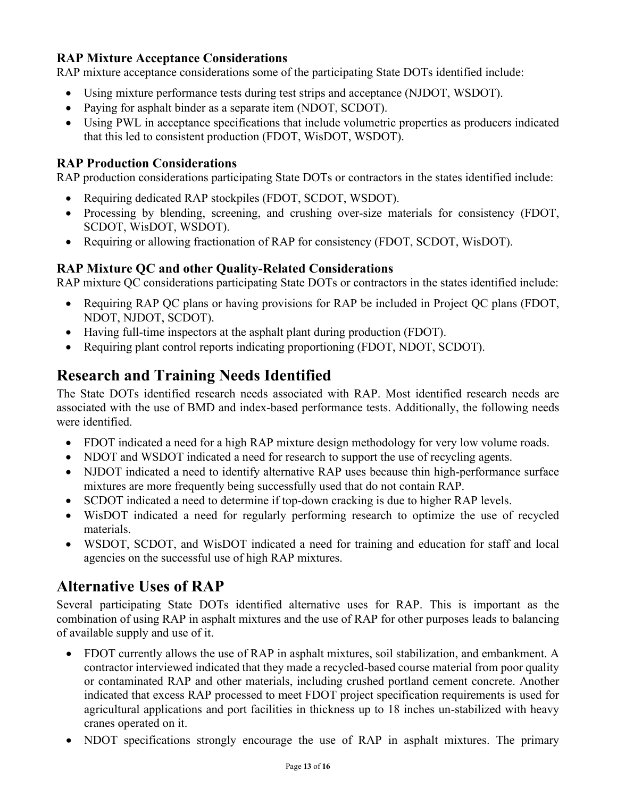#### **RAP Mixture Acceptance Considerations**

RAP mixture acceptance considerations some of the participating State DOTs identified include:

- Using mixture performance tests during test strips and acceptance (NJDOT, WSDOT).
- Paying for asphalt binder as a separate item (NDOT, SCDOT).
- Using PWL in acceptance specifications that include volumetric properties as producers indicated that this led to consistent production (FDOT, WisDOT, WSDOT).

#### **RAP Production Considerations**

RAP production considerations participating State DOTs or contractors in the states identified include:

- Requiring dedicated RAP stockpiles (FDOT, SCDOT, WSDOT).
- Processing by blending, screening, and crushing over-size materials for consistency (FDOT, SCDOT, WisDOT, WSDOT).
- Requiring or allowing fractionation of RAP for consistency (FDOT, SCDOT, WisDOT).

#### **RAP Mixture QC and other Quality-Related Considerations**

RAP mixture QC considerations participating State DOTs or contractors in the states identified include:

- Requiring RAP QC plans or having provisions for RAP be included in Project QC plans (FDOT, NDOT, NJDOT, SCDOT).
- Having full-time inspectors at the asphalt plant during production (FDOT).
- Requiring plant control reports indicating proportioning (FDOT, NDOT, SCDOT).

## **Research and Training Needs Identified**

The State DOTs identified research needs associated with RAP. Most identified research needs are associated with the use of BMD and index-based performance tests. Additionally, the following needs were identified.

- FDOT indicated a need for a high RAP mixture design methodology for very low volume roads.
- NDOT and WSDOT indicated a need for research to support the use of recycling agents.
- NJDOT indicated a need to identify alternative RAP uses because thin high-performance surface mixtures are more frequently being successfully used that do not contain RAP.
- SCDOT indicated a need to determine if top-down cracking is due to higher RAP levels.
- WisDOT indicated a need for regularly performing research to optimize the use of recycled materials.
- WSDOT, SCDOT, and WisDOT indicated a need for training and education for staff and local agencies on the successful use of high RAP mixtures.

## **Alternative Uses of RAP**

Several participating State DOTs identified alternative uses for RAP. This is important as the combination of using RAP in asphalt mixtures and the use of RAP for other purposes leads to balancing of available supply and use of it.

- FDOT currently allows the use of RAP in asphalt mixtures, soil stabilization, and embankment. A contractor interviewed indicated that they made a recycled-based course material from poor quality or contaminated RAP and other materials, including crushed portland cement concrete. Another indicated that excess RAP processed to meet FDOT project specification requirements is used for agricultural applications and port facilities in thickness up to 18 inches un-stabilized with heavy cranes operated on it.
- NDOT specifications strongly encourage the use of RAP in asphalt mixtures. The primary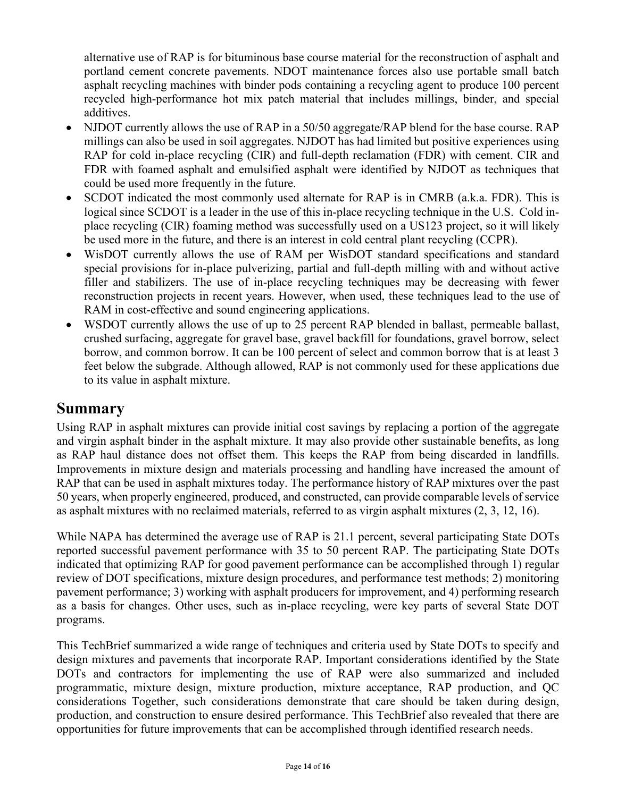alternative use of RAP is for bituminous base course material for the reconstruction of asphalt and portland cement concrete pavements. NDOT maintenance forces also use portable small batch asphalt recycling machines with binder pods containing a recycling agent to produce 100 percent recycled high-performance hot mix patch material that includes millings, binder, and special additives.

- NJDOT currently allows the use of RAP in a 50/50 aggregate/RAP blend for the base course. RAP millings can also be used in soil aggregates. NJDOT has had limited but positive experiences using RAP for cold in-place recycling (CIR) and full-depth reclamation (FDR) with cement. CIR and FDR with foamed asphalt and emulsified asphalt were identified by NJDOT as techniques that could be used more frequently in the future.
- SCDOT indicated the most commonly used alternate for RAP is in CMRB (a.k.a. FDR). This is logical since SCDOT is a leader in the use of this in-place recycling technique in the U.S. Cold inplace recycling (CIR) foaming method was successfully used on a US123 project, so it will likely be used more in the future, and there is an interest in cold central plant recycling (CCPR).
- WisDOT currently allows the use of RAM per WisDOT standard specifications and standard special provisions for in-place pulverizing, partial and full-depth milling with and without active filler and stabilizers. The use of in-place recycling techniques may be decreasing with fewer reconstruction projects in recent years. However, when used, these techniques lead to the use of RAM in cost-effective and sound engineering applications.
- WSDOT currently allows the use of up to 25 percent RAP blended in ballast, permeable ballast, crushed surfacing, aggregate for gravel base, gravel backfill for foundations, gravel borrow, select borrow, and common borrow. It can be 100 percent of select and common borrow that is at least 3 feet below the subgrade. Although allowed, RAP is not commonly used for these applications due to its value in asphalt mixture.

#### **Summary**

Using RAP in asphalt mixtures can provide initial cost savings by replacing a portion of the aggregate and virgin asphalt binder in the asphalt mixture. It may also provide other sustainable benefits, as long as RAP haul distance does not offset them. This keeps the RAP from being discarded in landfills. Improvements in mixture design and materials processing and handling have increased the amount of RAP that can be used in asphalt mixtures today. The performance history of RAP mixtures over the past 50 years, when properly engineered, produced, and constructed, can provide comparable levels of service as asphalt mixtures with no reclaimed materials, referred to as virgin asphalt mixtures (2, 3, 12, 16).

While NAPA has determined the average use of RAP is 21.1 percent, several participating State DOTs reported successful pavement performance with 35 to 50 percent RAP. The participating State DOTs indicated that optimizing RAP for good pavement performance can be accomplished through 1) regular review of DOT specifications, mixture design procedures, and performance test methods; 2) monitoring pavement performance; 3) working with asphalt producers for improvement, and 4) performing research as a basis for changes. Other uses, such as in-place recycling, were key parts of several State DOT programs.

This TechBrief summarized a wide range of techniques and criteria used by State DOTs to specify and design mixtures and pavements that incorporate RAP. Important considerations identified by the State DOTs and contractors for implementing the use of RAP were also summarized and included programmatic, mixture design, mixture production, mixture acceptance, RAP production, and QC considerations Together, such considerations demonstrate that care should be taken during design, production, and construction to ensure desired performance. This TechBrief also revealed that there are opportunities for future improvements that can be accomplished through identified research needs.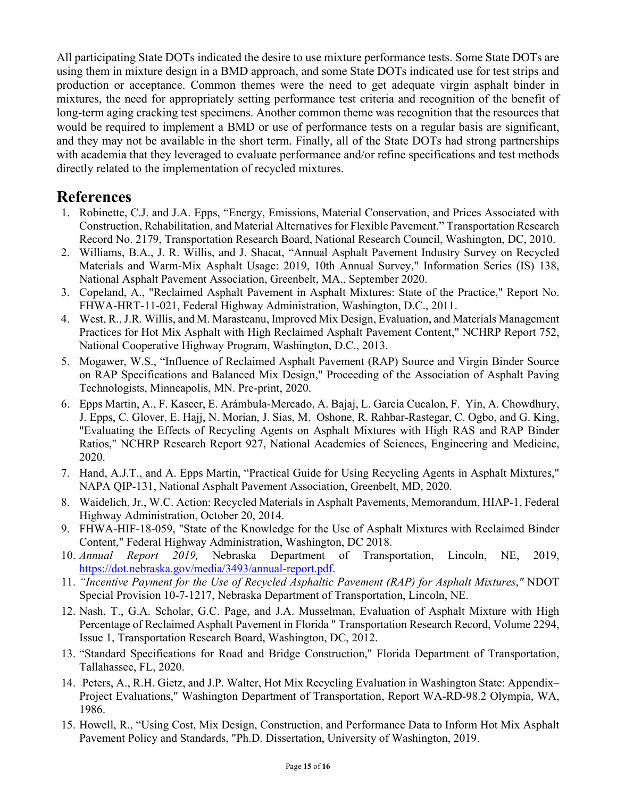All participating State DOTs indicated the desire to use mixture performance tests. Some State DOTs are using them in mixture design in a BMD approach, and some State DOTs indicated use for test strips and production or acceptance. Common themes were the need to get adequate virgin asphalt binder in mixtures, the need for appropriately setting performance test criteria and recognition of the benefit of long-term aging cracking test specimens. Another common theme was recognition that the resources that would be required to implement a BMD or use of performance tests on a regular basis are significant, and they may not be available in the short term. Finally, all of the State DOTs had strong partnerships with academia that they leveraged to evaluate performance and/or refine specifications and test methods directly related to the implementation of recycled mixtures.

#### **References**

- 1. Robinette, C.J. and J.A. Epps, "Energy, Emissions, Material Conservation, and Prices Associated with Construction, Rehabilitation, and Material Alternatives for Flexible Pavement." Transportation Research Record No. 2179, Transportation Research Board, National Research Council, Washington, DC, 2010.
- 2. Williams, B.A., J. R. Willis, and J. Shacat, "Annual Asphalt Pavement Industry Survey on Recycled Materials and Warm-Mix Asphalt Usage: 2019, 10th Annual Survey," Information Series (IS) 138, National Asphalt Pavement Association, Greenbelt, MA., September 2020.
- 3. Copeland, A., "Reclaimed Asphalt Pavement in Asphalt Mixtures: State of the Practice," Report No. FHWA-HRT-11-021, Federal Highway Administration, Washington, D.C., 2011.
- 4. West, R., J.R. Willis, and M. Marasteanu, Improved Mix Design, Evaluation, and Materials Management Practices for Hot Mix Asphalt with High Reclaimed Asphalt Pavement Content," NCHRP Report 752, National Cooperative Highway Program, Washington, D.C., 2013.
- 5. Mogawer, W.S., "Influence of Reclaimed Asphalt Pavement (RAP) Source and Virgin Binder Source on RAP Specifications and Balanced Mix Design," Proceeding of the Association of Asphalt Paving Technologists, Minneapolis, MN. Pre-print, 2020.
- 6. Epps Martin, A., F. Kaseer, E. Arámbula-Mercado, A. Bajaj, L. Garcia Cucalon, F. Yin, A. Chowdhury, J. Epps, C. Glover, E. Hajj, N. Morian, J. Sias, M. Oshone, R. Rahbar-Rastegar, C. Ogbo, and G. King, "Evaluating the Effects of Recycling Agents on Asphalt Mixtures with High RAS and RAP Binder Ratios," NCHRP Research Report 927, National Academies of Sciences, Engineering and Medicine, 2020.
- 7. Hand, A.J.T., and A. Epps Martin, "Practical Guide for Using Recycling Agents in Asphalt Mixtures," NAPA QIP-131, National Asphalt Pavement Association, Greenbelt, MD, 2020.
- 8. Waidelich, Jr., W.C. Action: Recycled Materials in Asphalt Pavements, Memorandum, HIAP-1, Federal Highway Administration, October 20, 2014.
- 9. FHWA-HIF-18-059, "State of the Knowledge for the Use of Asphalt Mixtures with Reclaimed Binder Content," Federal Highway Administration, Washington, DC 2018.
- 10. *Annual Report 2019,* Nebraska Department of Transportation, Lincoln, NE, 2019, [https://dot.nebraska.gov/media/3493/annual-report.pdf.](https://dot.nebraska.gov/media/3493/annual-report.pdf)
- 11. *"Incentive Payment for the Use of Recycled Asphaltic Pavement (RAP) for Asphalt Mixtures*,*"* NDOT Special Provision 10-7-1217, Nebraska Department of Transportation, Lincoln, NE.
- 12. Nash, T., G.A. Scholar, G.C. Page, and J.A. Musselman, Evaluation of Asphalt Mixture with High Percentage of Reclaimed Asphalt Pavement in Florida " Transportation Research Record, Volume 2294, Issue 1, Transportation Research Board, Washington, DC, 2012.
- 13. "Standard Specifications for Road and Bridge Construction," Florida Department of Transportation, Tallahassee, FL, 2020.
- 14. Peters, A., R.H. Gietz, and J.P. Walter, Hot Mix Recycling Evaluation in Washington State: Appendix– Project Evaluations," Washington Department of Transportation, Report WA-RD-98.2 Olympia, WA, 1986.
- 15. Howell, R., "Using Cost, Mix Design, Construction, and Performance Data to Inform Hot Mix Asphalt Pavement Policy and Standards, "Ph.D. Dissertation, University of Washington, 2019.